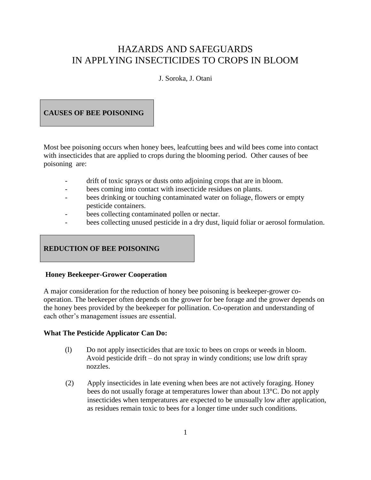# HAZARDS AND SAFEGUARDS IN APPLYING INSECTICIDES TO CROPS IN BLOOM

J. Soroka, J. Otani

# **CAUSES OF BEE POISONING**

Most bee poisoning occurs when honey bees, leafcutting bees and wild bees come into contact with insecticides that are applied to crops during the blooming period. Other causes of bee poisoning are:

- drift of toxic sprays or dusts onto adjoining crops that are in bloom.
- bees coming into contact with insecticide residues on plants.
- bees drinking or touching contaminated water on foliage, flowers or empty pesticide containers.
- bees collecting contaminated pollen or nectar.
- bees collecting unused pesticide in a dry dust, liquid foliar or aerosol formulation.

# **REDUCTION OF BEE POISONING**

# **Honey Beekeeper-Grower Cooperation**

A major consideration for the reduction of honey bee poisoning is beekeeper-grower cooperation. The beekeeper often depends on the grower for bee forage and the grower depends on the honey bees provided by the beekeeper for pollination. Co-operation and understanding of each other's management issues are essential.

# **What The Pesticide Applicator Can Do:**

- (l) Do not apply insecticides that are toxic to bees on crops or weeds in bloom. Avoid pesticide drift  $-$  do not spray in windy conditions; use low drift spray nozzles.
- (2) Apply insecticides in late evening when bees are not actively foraging. Honey bees do not usually forage at temperatures lower than about 13°C. Do not apply insecticides when temperatures are expected to be unusually low after application, as residues remain toxic to bees for a longer time under such conditions.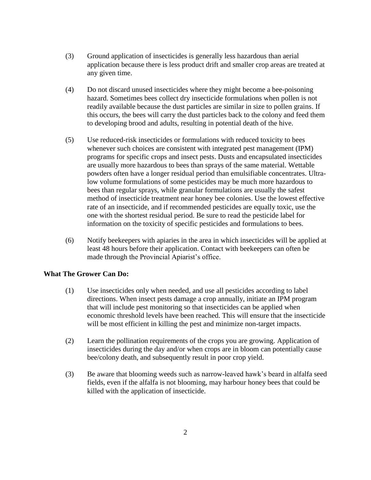- (3) Ground application of insecticides is generally less hazardous than aerial application because there is less product drift and smaller crop areas are treated at any given time.
- (4) Do not discard unused insecticides where they might become a bee-poisoning hazard. Sometimes bees collect dry insecticide formulations when pollen is not readily available because the dust particles are similar in size to pollen grains. If this occurs, the bees will carry the dust particles back to the colony and feed them to developing brood and adults, resulting in potential death of the hive.
- (5) Use reduced-risk insecticides or formulations with reduced toxicity to bees whenever such choices are consistent with integrated pest management (IPM) programs for specific crops and insect pests. Dusts and encapsulated insecticides are usually more hazardous to bees than sprays of the same material. Wettable powders often have a longer residual period than emulsifiable concentrates. Ultralow volume formulations of some pesticides may be much more hazardous to bees than regular sprays, while granular formulations are usually the safest method of insecticide treatment near honey bee colonies. Use the lowest effective rate of an insecticide, and if recommended pesticides are equally toxic, use the one with the shortest residual period. Be sure to read the pesticide label for information on the toxicity of specific pesticides and formulations to bees.
- (6) Notify beekeepers with apiaries in the area in which insecticides will be applied at least 48 hours before their application. Contact with beekeepers can often be made through the Provincial Apiarist's office.

#### **What The Grower Can Do:**

- (1) Use insecticides only when needed, and use all pesticides according to label directions. When insect pests damage a crop annually, initiate an IPM program that will include pest monitoring so that insecticides can be applied when economic threshold levels have been reached. This will ensure that the insecticide will be most efficient in killing the pest and minimize non-target impacts.
- (2) Learn the pollination requirements of the crops you are growing. Application of insecticides during the day and/or when crops are in bloom can potentially cause bee/colony death, and subsequently result in poor crop yield.
- (3) Be aware that blooming weeds such as narrow-leaved hawk's beard in alfalfa seed fields, even if the alfalfa is not blooming, may harbour honey bees that could be killed with the application of insecticide.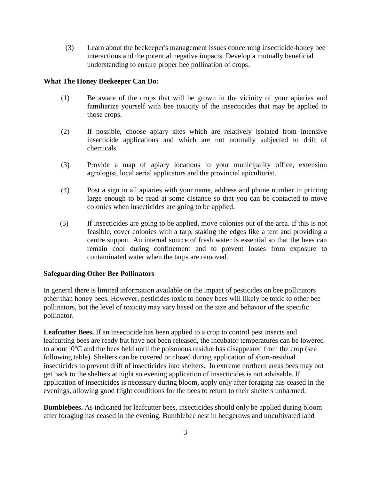(3) Learn about the beekeeper's management issues concerning insecticide-honey bee interactions and the potential negative impacts. Develop a mutually beneficial understanding to ensure proper bee pollination of crops.

#### **What The Honey Beekeeper Can Do:**

- (1) Be aware of the crops that will be grown in the vicinity of your apiaries and familiarize yourself with bee toxicity of the insecticides that may be applied to those crops.
- (2) If possible, choose apiary sites which are relatively isolated from intensive insecticide applications and which are not normally subjected to drift of chemicals.
- (3) Provide a map of apiary locations to your municipality office, extension agrologist, local aerial applicators and the provincial apiculturist.
- (4) Post a sign in all apiaries with your name, address and phone number in printing large enough to be read at some distance so that you can be contacted to move colonies when insecticides are going to be applied.
- (5) If insecticides are going to be applied, move colonies out of the area. If this is not feasible, cover colonies with a tarp, staking the edges like a tent and providing a centre support. An internal source of fresh water is essential so that the bees can remain cool during confinement and to prevent losses from exposure to contaminated water when the tarps are removed.

#### **Safeguarding Other Bee Pollinators**

In general there is limited information available on the impact of pesticides on bee pollinators other than honey bees. However, pesticides toxic to honey bees will likely be toxic to other bee pollinators, but the level of toxicity may vary based on the size and behavior of the specific pollinator.

**Leafcutter Bees.** If an insecticide has been applied to a crop to control pest insects and leafcutting bees are ready but have not been released, the incubator temperatures can be lowered to about  $10^{\circ}$ C and the bees held until the poisonous residue has disappeared from the crop (see following table). Shelters can be covered or closed during application of short-residual insecticides to prevent drift of insecticides into shelters. In extreme northern areas bees may not get back to the shelters at night so evening application of insecticides is not advisable. If application of insecticides is necessary during bloom, apply only after foraging has ceased in the evenings, allowing good flight conditions for the bees to return to their shelters unharmed.

**Bumblebees.** As indicated for leafcutter bees, insecticides should only be applied during bloom after foraging has ceased in the evening. Bumblebee nest in hedgerows and uncultivated land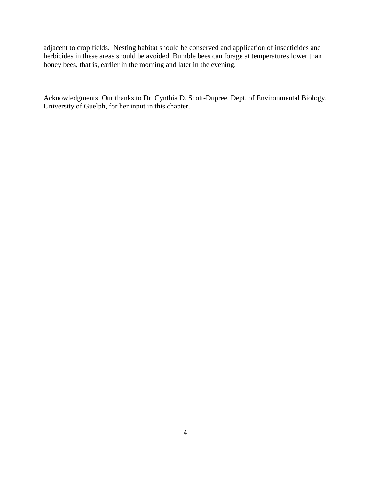adjacent to crop fields. Nesting habitat should be conserved and application of insecticides and herbicides in these areas should be avoided. Bumble bees can forage at temperatures lower than honey bees, that is, earlier in the morning and later in the evening.

Acknowledgments: Our thanks to Dr. Cynthia D. Scott-Dupree, Dept. of Environmental Biology, University of Guelph, for her input in this chapter.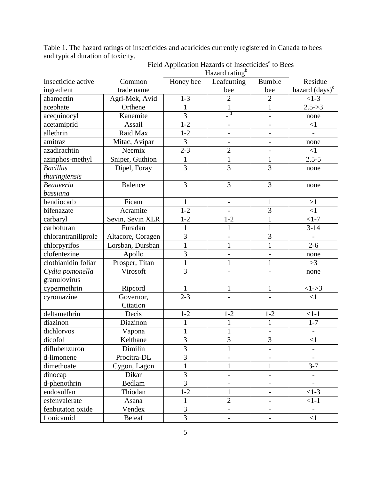Table 1. The hazard ratings of insecticides and acaricides currently registered in Canada to bees and typical duration of toxicity.

|                     |                   | TIAZAIU TAUIIE |                          |                              |                                     |  |  |  |
|---------------------|-------------------|----------------|--------------------------|------------------------------|-------------------------------------|--|--|--|
| Insecticide active  | Common            | Honey bee      | Leafcutting              | <b>Bumble</b>                | Residue                             |  |  |  |
| ingredient          | trade name        |                | bee                      | bee                          | hazard $\left(\text{days}\right)^c$ |  |  |  |
| abamectin           | Agri-Mek, Avid    | $1 - 3$        | $\overline{2}$           | $\overline{2}$               | $<1-3$                              |  |  |  |
| acephate            | Orthene           | $\mathbf{1}$   | $\mathbf{1}$             | $\mathbf{1}$                 | $2.5 - > 3$                         |  |  |  |
| acequinocyl         | Kanemite          | $\overline{3}$ | $\overline{d}$           | $\frac{1}{2}$                | none                                |  |  |  |
| acetamiprid         | Assail            | $1 - 2$        | $\overline{\phantom{a}}$ | $\frac{1}{2}$                | $\leq$ 1                            |  |  |  |
| allethrin           | Raid Max          | $1 - 2$        | $\overline{\phantom{a}}$ | $\overline{\phantom{a}}$     | $\overline{a}$                      |  |  |  |
| amitraz             | Mitac, Avipar     | 3              | $\overline{\phantom{0}}$ |                              | none                                |  |  |  |
| azadirachtin        | Neemix            | $2 - 3$        | $\overline{2}$           | $\frac{1}{2}$                | $\leq$ 1                            |  |  |  |
| azinphos-methyl     | Sniper, Guthion   | $\mathbf{1}$   | $\mathbf{1}$             | $\mathbf{1}$                 | $2.5 - 5$                           |  |  |  |
| <b>Bacillus</b>     | Dipel, Foray      | 3              | $\overline{3}$           | 3                            | none                                |  |  |  |
| thuringiensis       |                   |                |                          |                              |                                     |  |  |  |
| <b>Beauveria</b>    | <b>Balence</b>    | 3              | 3                        | $\overline{3}$               | none                                |  |  |  |
| bassiana            |                   |                |                          |                              |                                     |  |  |  |
| bendiocarb          | Ficam             | 1              | $\overline{\phantom{a}}$ |                              | >1                                  |  |  |  |
| bifenazate          | Acramite          | $1 - 2$        | $\blacksquare$           | 3                            | $\leq$ 1                            |  |  |  |
| carbaryl            | Sevin, Sevin XLR  | $1 - 2$        | $1 - 2$                  | $\mathbf{1}$                 | $<1-7$                              |  |  |  |
| carbofuran          | Furadan           | 1              | $\mathbf{1}$             | $\mathbf{1}$                 | $3 - 14$                            |  |  |  |
| chlorantraniliprole | Altacore, Coragen | $\overline{3}$ | $\overline{a}$           | 3                            |                                     |  |  |  |
| chlorpyrifos        | Lorsban, Dursban  | $\mathbf{1}$   | $\mathbf{1}$             | $\mathbf{1}$                 | $2 - 6$                             |  |  |  |
| clofentezine        | Apollo            | $\overline{3}$ | $\overline{\phantom{0}}$ | $\overline{\phantom{a}}$     | none                                |  |  |  |
| clothianidin foliar | Prosper, Titan    | $\mathbf{1}$   | $\mathbf{1}$             | $\mathbf{1}$                 | >3                                  |  |  |  |
| Cydia pomonella     | Virosoft          | $\overline{3}$ | $\overline{a}$           | $\overline{a}$               | none                                |  |  |  |
| granulovirus        |                   |                |                          |                              |                                     |  |  |  |
| cypermethrin        | Ripcord           | $\mathbf{1}$   | $\mathbf{1}$             | $\mathbf{1}$                 | $<1-3$                              |  |  |  |
| cyromazine          | Governor,         | $2 - 3$        | $\overline{\phantom{a}}$ | $\frac{1}{2}$                | $\leq$ 1                            |  |  |  |
|                     | Citation          |                |                          |                              |                                     |  |  |  |
| deltamethrin        | Decis             | $1 - 2$        | $1 - 2$                  | $1 - 2$                      | $<1-1$                              |  |  |  |
| diazinon            | Diazinon          | $\mathbf{1}$   | $\mathbf{1}$             | $\mathbf{1}$                 | $1 - 7$                             |  |  |  |
| dichlorvos          | Vapona            | $\mathbf{1}$   | $\mathbf{1}$             | $\overline{a}$               |                                     |  |  |  |
| dicofol             | Kelthane          | 3              | $\overline{3}$           | 3                            | $\leq$ 1                            |  |  |  |
| diflubenzuron       | Dimilin           | 3              | 1                        |                              |                                     |  |  |  |
| d-limonene          | Procitra-DL       | 3              |                          |                              |                                     |  |  |  |
| dimethoate          | Cygon, Lagon      | $\mathbf{1}$   | $\mathbf{1}$             | $\mathbf{1}$                 | $3 - 7$                             |  |  |  |
| dinocap             | Dikar             | 3              | $\overline{\phantom{0}}$ |                              |                                     |  |  |  |
| d-phenothrin        | Bedlam            | $\overline{3}$ | $\overline{\phantom{a}}$ | $\qquad \qquad \blacksquare$ | $\overline{\phantom{0}}$            |  |  |  |
| endosulfan          | Thiodan           | $1-2$          | $\mathbf{1}$             | $\overline{a}$               | $<1-3$                              |  |  |  |
| esfenvalerate       | Asana             | $\mathbf{1}$   | $\overline{2}$           | $\overline{\phantom{a}}$     | $<1-1$                              |  |  |  |
| fenbutaton oxide    | Vendex            | $\overline{3}$ | $\overline{\phantom{a}}$ | $\overline{\phantom{0}}$     | $\qquad \qquad -$                   |  |  |  |
| flonicamid          | <b>Beleaf</b>     | $\overline{3}$ | $\overline{\phantom{0}}$ | $\overline{\phantom{0}}$     | $\leq$ 1                            |  |  |  |

Field Application Hazards of Insecticides<sup>a</sup> to Bees<br>Hazard rating<sup>b</sup>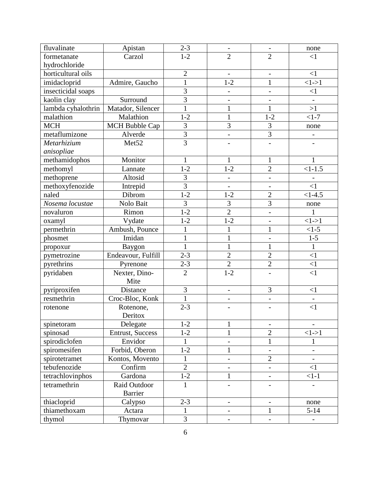| fluvalinate        | Apistan               | $2 - 3$        | $\qquad \qquad -$        |                          | none                     |
|--------------------|-----------------------|----------------|--------------------------|--------------------------|--------------------------|
| formetanate        | Carzol                | $1-2$          | $\overline{2}$           | $\overline{2}$           | $<$ 1                    |
| hydrochloride      |                       |                |                          |                          |                          |
| horticultural oils |                       | $\mathbf{2}$   | $\overline{\phantom{0}}$ | $\qquad \qquad -$        | $<$ 1                    |
| imidacloprid       | Admire, Gaucho        | $\mathbf{1}$   | $1 - 2$                  | $\mathbf{1}$             | $<1-1$                   |
| insecticidal soaps |                       | $\mathfrak{Z}$ | $\overline{\phantom{0}}$ | $\overline{\phantom{0}}$ | $\leq$ 1                 |
| kaolin clay        | Surround              | $\overline{3}$ | $\overline{\phantom{0}}$ |                          |                          |
| lambda cyhalothrin | Matador, Silencer     | $\mathbf{1}$   | $\mathbf{1}$             | $\mathbf{1}$             | >1                       |
| malathion          | Malathion             | $1 - 2$        | $\mathbf{1}$             | $1 - 2$                  | $1-7$                    |
| <b>MCH</b>         | <b>MCH Bubble Cap</b> | 3              | $\overline{3}$           | $\overline{3}$           | none                     |
| metaflumizone      | Alverde               | $\overline{3}$ | $\overline{\phantom{0}}$ | $\overline{3}$           | $\qquad \qquad -$        |
| Metarhizium        | Met <sub>52</sub>     | $\overline{3}$ |                          |                          |                          |
| anisopliae         |                       |                |                          |                          |                          |
| methamidophos      | Monitor               | 1              | 1                        | 1                        |                          |
| methomyl           | Lannate               | $1 - 2$        | $1 - 2$                  | $\overline{2}$           | $<1-1.5$                 |
| methoprene         | Altosid               | 3              | $\overline{\phantom{0}}$ | $\overline{\phantom{0}}$ |                          |
| methoxyfenozide    | Intrepid              | $\overline{3}$ | $\overline{\phantom{0}}$ | $\overline{\phantom{0}}$ | $\leq$ 1                 |
| naled              | Dibrom                | $1 - 2$        | $1 - 2$                  | $\overline{2}$           | $<1-4.5$                 |
| Nosema locustae    | Nolo Bait             | $\overline{3}$ | $\overline{3}$           | $\overline{3}$           | none                     |
| novaluron          | Rimon                 | $1 - 2$        | $\overline{2}$           | $\overline{a}$           | $\mathbf{1}$             |
| oxamyl             | Vydate                | $1 - 2$        | $1 - 2$                  | $\overline{a}$           | $<1-1$                   |
| permethrin         | Ambush, Pounce        | $\mathbf{1}$   | 1                        | $\mathbf{1}$             | $<1-5$                   |
| phosmet            | Imidan                | $\mathbf{1}$   | $\mathbf{1}$             | $\overline{\phantom{0}}$ | $1-5$                    |
| propoxur           | Baygon                | $\mathbf{1}$   | $\mathbf{1}$             | $\mathbf{1}$             | $\mathbf{1}$             |
| pymetrozine        | Endeavour, Fulfill    | $2 - 3$        | $\overline{2}$           | $\overline{2}$           | $\leq$ 1                 |
| pyrethrins         | Pyrenone              | $2 - 3$        | $\overline{2}$           | $\overline{2}$           | $\leq$ 1                 |
| pyridaben          | Nexter, Dino-         | $\overline{2}$ | $1 - 2$                  | $\overline{\phantom{0}}$ | $\leq$ 1                 |
|                    | Mite                  |                |                          |                          |                          |
| pyriproxifen       | Distance              | 3              | $\overline{\phantom{0}}$ | 3                        | $<$ 1                    |
| resmethrin         | Croc-Bloc, Konk       | $\mathbf{1}$   | $\overline{\phantom{0}}$ | $\overline{\phantom{0}}$ | $\overline{a}$           |
| rotenone           | Rotenone,             | $2 - 3$        |                          |                          | $\leq$ 1                 |
|                    | Deritox               |                |                          |                          |                          |
| spinetoram         | Delegate              | $1 - 2$        | 1                        |                          |                          |
| spinosad           | Entrust, Success      | $1 - 2$        | $\mathbf{1}$             | $\overline{2}$           | $<1-1$                   |
| spirodiclofen      | Envidor               | 1              | $\overline{\phantom{0}}$ | $\mathbf{1}$             | 1                        |
| spiromesifen       | Forbid, Oberon        | $1 - 2$        | $\mathbf 1$              |                          | $\overline{a}$           |
| spirotetramet      | Kontos, Movento       | $\mathbf{1}$   | $\overline{\phantom{0}}$ | $\overline{2}$           |                          |
| tebufenozide       | Confirm               | $\overline{2}$ | $\overline{\phantom{0}}$ | $\overline{\phantom{0}}$ | $\leq$ 1                 |
| tetrachlovinphos   | Gardona               | $1 - 2$        | $\mathbf 1$              |                          | $<1-1$                   |
| tetramethrin       | Raid Outdoor          | $\mathbf{1}$   |                          |                          |                          |
|                    | Barrier               |                |                          |                          |                          |
| thiacloprid        | Calypso               | $2 - 3$        | $\overline{\phantom{0}}$ | $\overline{\phantom{0}}$ | none                     |
| thiamethoxam       | Actara                | $\mathbf{1}$   | $\overline{\phantom{0}}$ | $\mathbf{1}$             | $5 - 14$                 |
| thymol             | Thymovar              | 3              |                          |                          | $\overline{\phantom{0}}$ |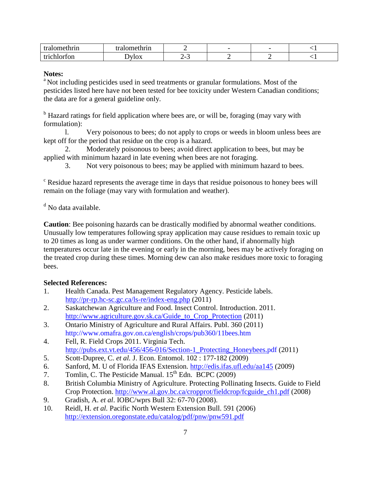| зипин<br>. . |     |                                                           | $\overline{\phantom{0}}$ | $\overline{\phantom{0}}$ |     |
|--------------|-----|-----------------------------------------------------------|--------------------------|--------------------------|-----|
| wu           | TOV | $\overline{\phantom{0}}$<br>∽<br>$\overline{\phantom{0}}$ | . .                      | -                        | . . |

### **Notes:**

<sup>a</sup> Not including pesticides used in seed treatments or granular formulations. Most of the pesticides listed here have not been tested for bee toxicity under Western Canadian conditions; the data are for a general guideline only.

<sup>b</sup> Hazard ratings for field application where bees are, or will be, foraging (may vary with formulation):

l. Very poisonous to bees; do not apply to crops or weeds in bloom unless bees are kept off for the period that residue on the crop is a hazard.

2. Moderately poisonous to bees; avoid direct application to bees, but may be applied with minimum hazard in late evening when bees are not foraging.

3. Not very poisonous to bees; may be applied with minimum hazard to bees.

<sup>c</sup> Residue hazard represents the average time in days that residue poisonous to honey bees will remain on the foliage (may vary with formulation and weather).

 $<sup>d</sup>$  No data available.</sup>

**Caution**: Bee poisoning hazards can be drastically modified by abnormal weather conditions. Unusually low temperatures following spray application may cause residues to remain toxic up to 20 times as long as under warmer conditions. On the other hand, if abnormally high temperatures occur late in the evening or early in the morning, bees may be actively foraging on the treated crop during these times. Morning dew can also make residues more toxic to foraging bees.

# **Selected References:**

- 1. Health Canada. Pest Management Regulatory Agency. Pesticide labels. [http://pr-r](http://pr-/)p.hc-sc.gc.ca/ls-re/index-eng.php (2011)
- 2. Saskatchewan Agriculture and Food. Insect Control. Introduction. 2011. http://www.agriculture.gov.sk.ca/Guide to Crop Protection (2011)
- 3. Ontario Ministry of Agriculture and Rural Affairs. Publ. 360 (2011) http://www.omafra.gov.on.ca/english/crops/pub360/11bees.htm
- 4. Fell, R. Field Crops 2011. Virginia Tech. http://pubs.ext.vt.edu/456/456-016/Section-1 Protecting Honeybees.pdf (2011)
- 5. Scott-Dupree, C. *et al.* J. Econ. Entomol. 102 : 177-182 (2009)
- 6. Sanford, M. U of Florida IFAS Extension. [http://edis.ifas.ufl.edu/aa145](http://edis.ifas.ufl.edu/aa145%20(2009) (2009)
- 7. Tomlin, C. The Pesticide Manual.  $15^{th}$  Edn. BCPC (2009)
- 8. British Columbia Ministry of Agriculture. Protecting Pollinating Insects. Guide to Field Crop Protection. http://www.al.gov.bc.ca/cropprot/fieldcrop/fcguide\_ch1.pdf (2008)
- 9. Gradish, A. *et al*. IOBC/wprs Bull 32: 67-70 (2008).
- 10. Reidl, H. *et al.* Pacific North Western Extension Bull. 591 (2006) <http://extension.oregonstate.edu/catalog/pdf/pnw/pnw591.pdf>